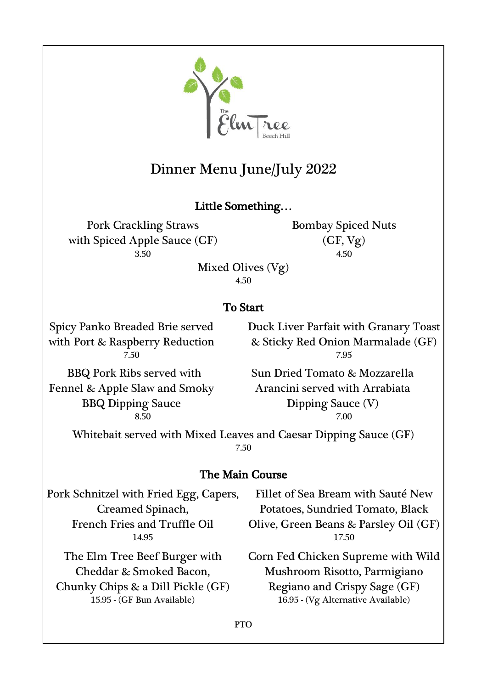

# Dinner Menu June/July 2022

# Little Something…

Pork Crackling Straws with Spiced Apple Sauce (GF) 3.50 4.50

Bombay Spiced Nuts (GF, Vg)

Mixed Olives (Vg)

4.50

# To Start

Spicy Panko Breaded Brie served with Port & Raspberry Reduction

Duck Liver Parfait with Granary Toast & Sticky Red Onion Marmalade (GF) 7.50 7.95

BBQ Pork Ribs served with Fennel & Apple Slaw and Smoky BBQ Dipping Sauce

Sun Dried Tomato & Mozzarella Arancini served with Arrabiata Dipping Sauce (V) 8.50 7.00

Whitebait served with Mixed Leaves and Caesar Dipping Sauce (GF) 7.50

# The Main Course

Pork Schnitzel with Fried Egg, Capers, Creamed Spinach, French Fries and Truffle Oil

The Elm Tree Beef Burger with Cheddar & Smoked Bacon, Chunky Chips & a Dill Pickle (GF)

Fillet of Sea Bream with Sauté New Potatoes, Sundried Tomato, Black Olive, Green Beans & Parsley Oil (GF) 14.95 17.50

Corn Fed Chicken Supreme with Wild Mushroom Risotto, Parmigiano Regiano and Crispy Sage (GF) 15.95 - (GF Bun Available) 16.95 - (Vg Alternative Available)